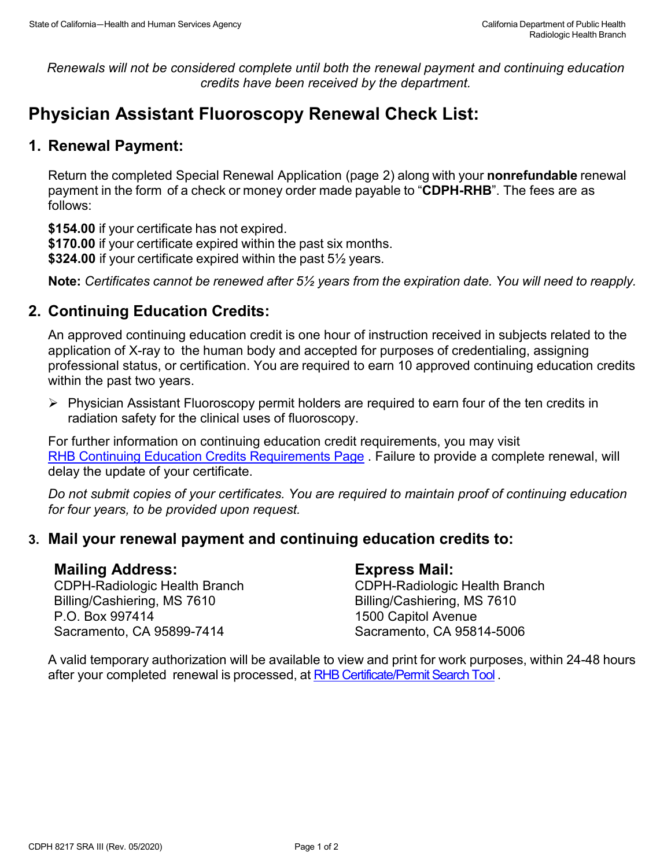*Renewals will not be considered complete until both the renewal payment and continuing education credits have been received by the department.*

# **Physician Assistant Fluoroscopy Renewal Check List:**

## **1. Renewal Payment:**

Return the completed Special Renewal Application (page 2) along with your **nonrefundable** renewal payment in the form of a check or money order made payable to "**CDPH-RHB**". The fees are as follows:

**\$154.00** if your certificate has not expired.

**\$170.00** if your certificate expired within the past six months.

**\$324.00** if your certificate expired within the past 5½ years.

**Note:** *Certificates cannot be renewed after 5½ years from the expiration date. You will need to reapply.*

## **2. Continuing Education Credits:**

An approved continuing education credit is one hour of instruction received in subjects related to the application of X-ray to the human body and accepted for purposes of credentialing, assigning professional status, or certification. You are required to earn 10 approved continuing education credits within the past two years.

 $\triangleright$  Physician Assistant Fluoroscopy permit holders are required to earn four of the ten credits in radiation safety for the clinical uses of fluoroscopy.

For further information on continuing education credit requirements, you may visit [RHB Continuing Education Credits Requirements Page](https://www.cdph.ca.gov/Programs/CEH/DRSEM/CDPH%20Document%20Library/RHB/Certification/RHB-CEC-Renewal.pdf) . Failure to provide a complete renewal, will delay the update of your certificate.

*Do not submit copies of your certificates. You are required to maintain proof of continuing education for four years, to be provided upon request.* 

### **3. Mail your renewal payment and continuing education credits to:**

#### **Mailing Address:**

CDPH-Radiologic Health Branch Billing/Cashiering, MS 7610 P.O. Box 997414 Sacramento, CA 95899-7414

#### **Express Mail:**

CDPH-Radiologic Health Branch Billing/Cashiering, MS 7610 1500 Capitol Avenue Sacramento, CA 95814-5006

A valid temporary authorization will be available to view and print for work purposes, within 24-48 hours after your completed renewal is processed, at [RHB Certificate/Permit Search Tool](http://rhbxray.cdph.ca.gov/) .